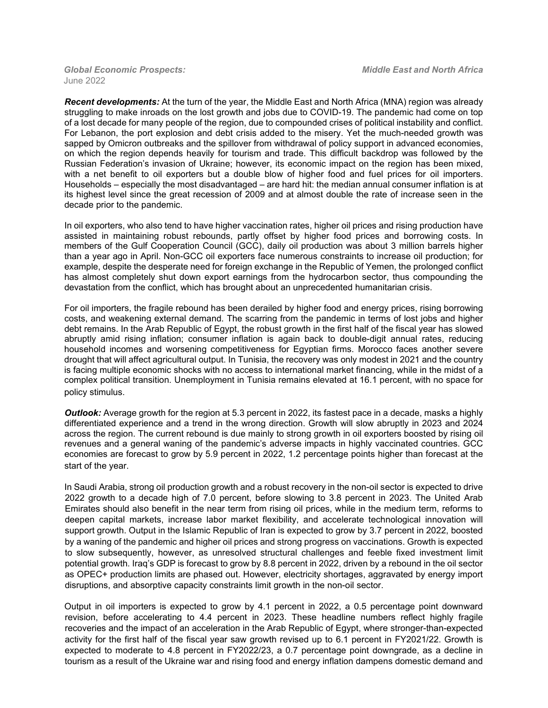June 2022

*Recent developments:* At the turn of the year, the Middle East and North Africa (MNA) region was already struggling to make inroads on the lost growth and jobs due to COVID-19. The pandemic had come on top of a lost decade for many people of the region, due to compounded crises of political instability and conflict. For Lebanon, the port explosion and debt crisis added to the misery. Yet the much-needed growth was sapped by Omicron outbreaks and the spillover from withdrawal of policy support in advanced economies, on which the region depends heavily for tourism and trade. This difficult backdrop was followed by the Russian Federation's invasion of Ukraine; however, its economic impact on the region has been mixed, with a net benefit to oil exporters but a double blow of higher food and fuel prices for oil importers. Households – especially the most disadvantaged – are hard hit: the median annual consumer inflation is at its highest level since the great recession of 2009 and at almost double the rate of increase seen in the decade prior to the pandemic.

In oil exporters, who also tend to have higher vaccination rates, higher oil prices and rising production have assisted in maintaining robust rebounds, partly offset by higher food prices and borrowing costs. In members of the Gulf Cooperation Council (GCC), daily oil production was about 3 million barrels higher than a year ago in April. Non-GCC oil exporters face numerous constraints to increase oil production; for example, despite the desperate need for foreign exchange in the Republic of Yemen, the prolonged conflict has almost completely shut down export earnings from the hydrocarbon sector, thus compounding the devastation from the conflict, which has brought about an unprecedented humanitarian crisis.

For oil importers, the fragile rebound has been derailed by higher food and energy prices, rising borrowing costs, and weakening external demand. The scarring from the pandemic in terms of lost jobs and higher debt remains. In the Arab Republic of Egypt, the robust growth in the first half of the fiscal year has slowed abruptly amid rising inflation; consumer inflation is again back to double-digit annual rates, reducing household incomes and worsening competitiveness for Egyptian firms. Morocco faces another severe drought that will affect agricultural output. In Tunisia, the recovery was only modest in 2021 and the country is facing multiple economic shocks with no access to international market financing, while in the midst of a complex political transition. Unemployment in Tunisia remains elevated at 16.1 percent, with no space for policy stimulus.

*Outlook:* Average growth for the region at 5.3 percent in 2022, its fastest pace in a decade, masks a highly differentiated experience and a trend in the wrong direction. Growth will slow abruptly in 2023 and 2024 across the region. The current rebound is due mainly to strong growth in oil exporters boosted by rising oil revenues and a general waning of the pandemic's adverse impacts in highly vaccinated countries. GCC economies are forecast to grow by 5.9 percent in 2022, 1.2 percentage points higher than forecast at the start of the year.

In Saudi Arabia, strong oil production growth and a robust recovery in the non-oil sector is expected to drive 2022 growth to a decade high of 7.0 percent, before slowing to 3.8 percent in 2023. The United Arab Emirates should also benefit in the near term from rising oil prices, while in the medium term, reforms to deepen capital markets, increase labor market flexibility, and accelerate technological innovation will support growth. Output in the Islamic Republic of Iran is expected to grow by 3.7 percent in 2022, boosted by a waning of the pandemic and higher oil prices and strong progress on vaccinations. Growth is expected to slow subsequently, however, as unresolved structural challenges and feeble fixed investment limit potential growth. Iraq's GDP is forecast to grow by 8.8 percent in 2022, driven by a rebound in the oil sector as OPEC+ production limits are phased out. However, electricity shortages, aggravated by energy import disruptions, and absorptive capacity constraints limit growth in the non-oil sector.

Output in oil importers is expected to grow by 4.1 percent in 2022, a 0.5 percentage point downward revision, before accelerating to 4.4 percent in 2023. These headline numbers reflect highly fragile recoveries and the impact of an acceleration in the Arab Republic of Egypt, where stronger-than-expected activity for the first half of the fiscal year saw growth revised up to 6.1 percent in FY2021/22. Growth is expected to moderate to 4.8 percent in FY2022/23, a 0.7 percentage point downgrade, as a decline in tourism as a result of the Ukraine war and rising food and energy inflation dampens domestic demand and